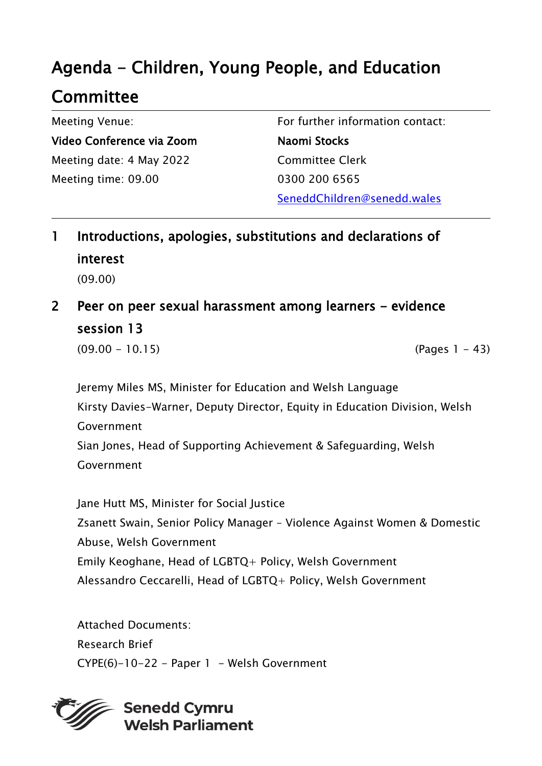# Agenda - Children, Young People, and Education

## Committee

Meeting Venue: Video Conference via Zoom Meeting date: 4 May 2022 Meeting time: 09.00

For further information contact: Naomi Stocks Committee Clerk 0300 200 6565 SeneddChildren@senedd.wales

- 1 Introductions, apologies, substitutions and declarations of interest (09.00)
- 2 Peer on peer sexual harassment among learners evidence session 13

 $(09.00 - 10.15)$  (Pages 1 - 43)

Jeremy Miles MS, Minister for Education and Welsh Language Kirsty Davies-Warner, Deputy Director, Equity in Education Division, Welsh Government Sian Jones, Head of Supporting Achievement & Safeguarding, Welsh Government

Jane Hutt MS, Minister for Social Justice Zsanett Swain, Senior Policy Manager – Violence Against Women & Domestic Abuse, Welsh Government Emily Keoghane, Head of LGBTQ+ Policy, Welsh Government Alessandro Ceccarelli, Head of LGBTQ+ Policy, Welsh Government

Attached Documents: Research Brief  $CYPE(6)-10-22$  - Paper 1 - Welsh Government



**Senedd Cymru Welsh Parliament**